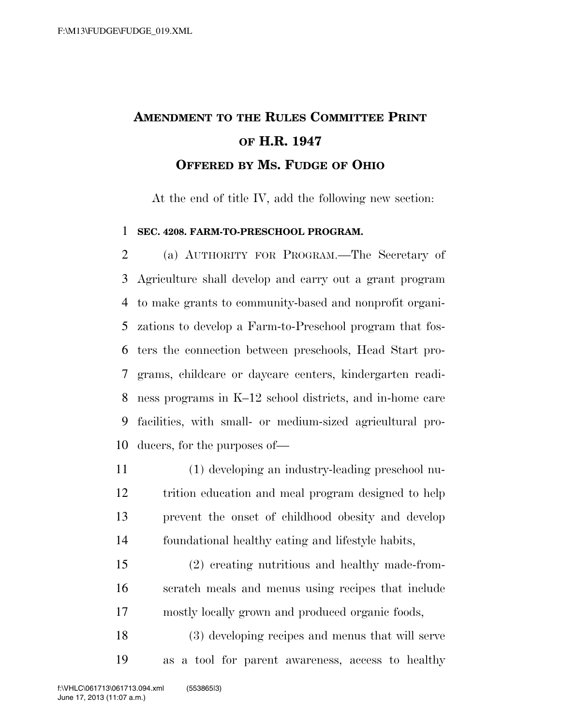## **AMENDMENT TO THE RULES COMMITTEE PRINT OF H.R. 1947 OFFERED BY MS. FUDGE OF OHIO**

At the end of title IV, add the following new section:

## **SEC. 4208. FARM-TO-PRESCHOOL PROGRAM.**

 (a) AUTHORITY FOR PROGRAM.—The Secretary of Agriculture shall develop and carry out a grant program to make grants to community-based and nonprofit organi- zations to develop a Farm-to-Preschool program that fos- ters the connection between preschools, Head Start pro- grams, childcare or daycare centers, kindergarten readi- ness programs in K–12 school districts, and in-home care facilities, with small- or medium-sized agricultural pro-ducers, for the purposes of—

 (1) developing an industry-leading preschool nu- trition education and meal program designed to help prevent the onset of childhood obesity and develop foundational healthy eating and lifestyle habits,

 (2) creating nutritious and healthy made-from- scratch meals and menus using recipes that include mostly locally grown and produced organic foods,

 (3) developing recipes and menus that will serve as a tool for parent awareness, access to healthy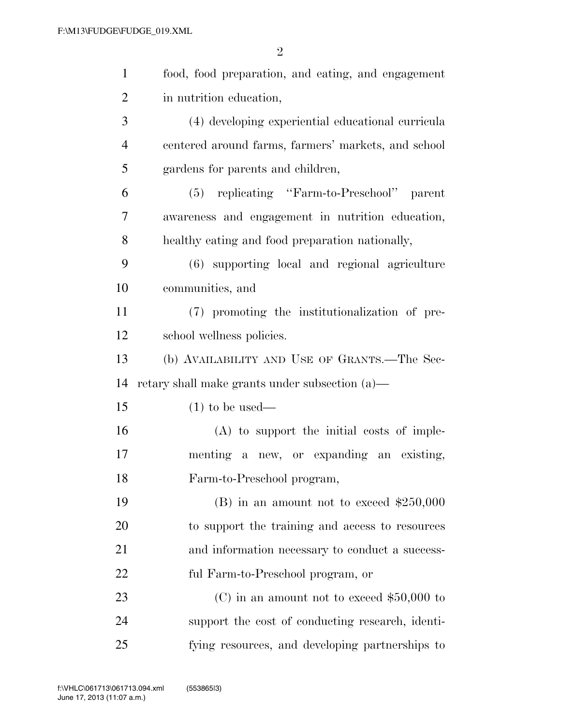| $\mathbf{1}$   | food, food preparation, and eating, and engagement  |
|----------------|-----------------------------------------------------|
| $\overline{2}$ | in nutrition education,                             |
| 3              | (4) developing experiential educational curricula   |
| $\overline{4}$ | centered around farms, farmers' markets, and school |
| 5              | gardens for parents and children,                   |
| 6              | (5) replicating "Farm-to-Preschool"<br>parent       |
| 7              | awareness and engagement in nutrition education,    |
| 8              | healthy eating and food preparation nationally,     |
| 9              | (6) supporting local and regional agriculture       |
| 10             | communities, and                                    |
| 11             | (7) promoting the institutionalization of pre-      |
| 12             | school wellness policies.                           |
| 13             | (b) AVAILABILITY AND USE OF GRANTS.—The Sec-        |
| 14             | retary shall make grants under subsection (a)—      |
| 15             | $(1)$ to be used—                                   |
| 16             | $(A)$ to support the initial costs of imple-        |
| 17             | menting a new, or expanding an existing,            |
| 18             | Farm-to-Preschool program,                          |
| 19             | $(B)$ in an amount not to exceed \$250,000          |
| 20             | to support the training and access to resources     |
| 21             | and information necessary to conduct a success-     |
| 22             | ful Farm-to-Preschool program, or                   |
| 23             | (C) in an amount not to exceed $$50,000$ to         |
| 24             | support the cost of conducting research, identi-    |
| 25             | fying resources, and developing partnerships to     |